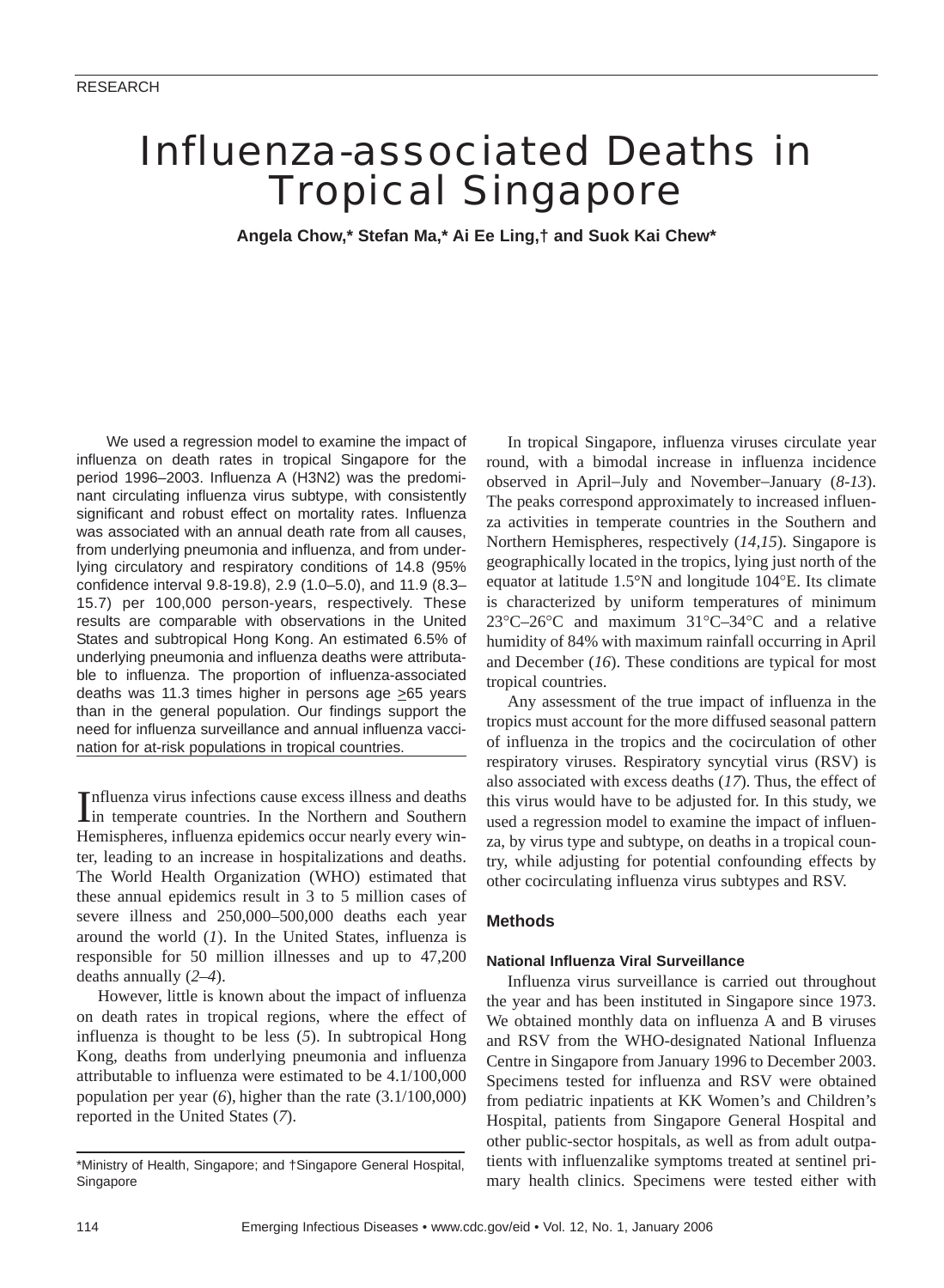# Influenza-associated Deaths in Tropical Singapore

**Angela Chow,\* Stefan Ma,\* Ai Ee Ling,† and Suok Kai Chew\***

We used a regression model to examine the impact of influenza on death rates in tropical Singapore for the period 1996–2003. Influenza A (H3N2) was the predominant circulating influenza virus subtype, with consistently significant and robust effect on mortality rates. Influenza was associated with an annual death rate from all causes, from underlying pneumonia and influenza, and from underlying circulatory and respiratory conditions of 14.8 (95% confidence interval 9.8-19.8), 2.9 (1.0–5.0), and 11.9 (8.3– 15.7) per 100,000 person-years, respectively. These results are comparable with observations in the United States and subtropical Hong Kong. An estimated 6.5% of underlying pneumonia and influenza deaths were attributable to influenza. The proportion of influenza-associated deaths was 11.3 times higher in persons age  $\geq 65$  years than in the general population. Our findings support the need for influenza surveillance and annual influenza vaccination for at-risk populations in tropical countries.

Influenza virus infections cause excess illness and deaths<br>in temperate countries. In the Northern and Southern nfluenza virus infections cause excess illness and deaths Hemispheres, influenza epidemics occur nearly every winter, leading to an increase in hospitalizations and deaths. The World Health Organization (WHO) estimated that these annual epidemics result in 3 to 5 million cases of severe illness and 250,000–500,000 deaths each year around the world (*1*). In the United States, influenza is responsible for 50 million illnesses and up to 47,200 deaths annually (*2–4*).

However, little is known about the impact of influenza on death rates in tropical regions, where the effect of influenza is thought to be less (*5*). In subtropical Hong Kong, deaths from underlying pneumonia and influenza attributable to influenza were estimated to be 4.1/100,000 population per year (*6*), higher than the rate (3.1/100,000) reported in the United States (*7*).

In tropical Singapore, influenza viruses circulate year round, with a bimodal increase in influenza incidence observed in April−July and November−January (*8-13*). The peaks correspond approximately to increased influenza activities in temperate countries in the Southern and Northern Hemispheres, respectively (*14,15*). Singapore is geographically located in the tropics, lying just north of the equator at latitude 1.5°N and longitude 104°E. Its climate is characterized by uniform temperatures of minimum 23°C–26°C and maximum 31°C–34°C and a relative humidity of 84% with maximum rainfall occurring in April and December (*16*). These conditions are typical for most tropical countries.

Any assessment of the true impact of influenza in the tropics must account for the more diffused seasonal pattern of influenza in the tropics and the cocirculation of other respiratory viruses. Respiratory syncytial virus (RSV) is also associated with excess deaths (*17*). Thus, the effect of this virus would have to be adjusted for. In this study, we used a regression model to examine the impact of influenza, by virus type and subtype, on deaths in a tropical country, while adjusting for potential confounding effects by other cocirculating influenza virus subtypes and RSV.

## **Methods**

#### **National Influenza Viral Surveillance**

Influenza virus surveillance is carried out throughout the year and has been instituted in Singapore since 1973. We obtained monthly data on influenza A and B viruses and RSV from the WHO-designated National Influenza Centre in Singapore from January 1996 to December 2003. Specimens tested for influenza and RSV were obtained from pediatric inpatients at KK Women's and Children's Hospital, patients from Singapore General Hospital and other public-sector hospitals, as well as from adult outpatients with influenzalike symptoms treated at sentinel primary health clinics. Specimens were tested either with

<sup>\*</sup>Ministry of Health, Singapore; and †Singapore General Hospital, Singapore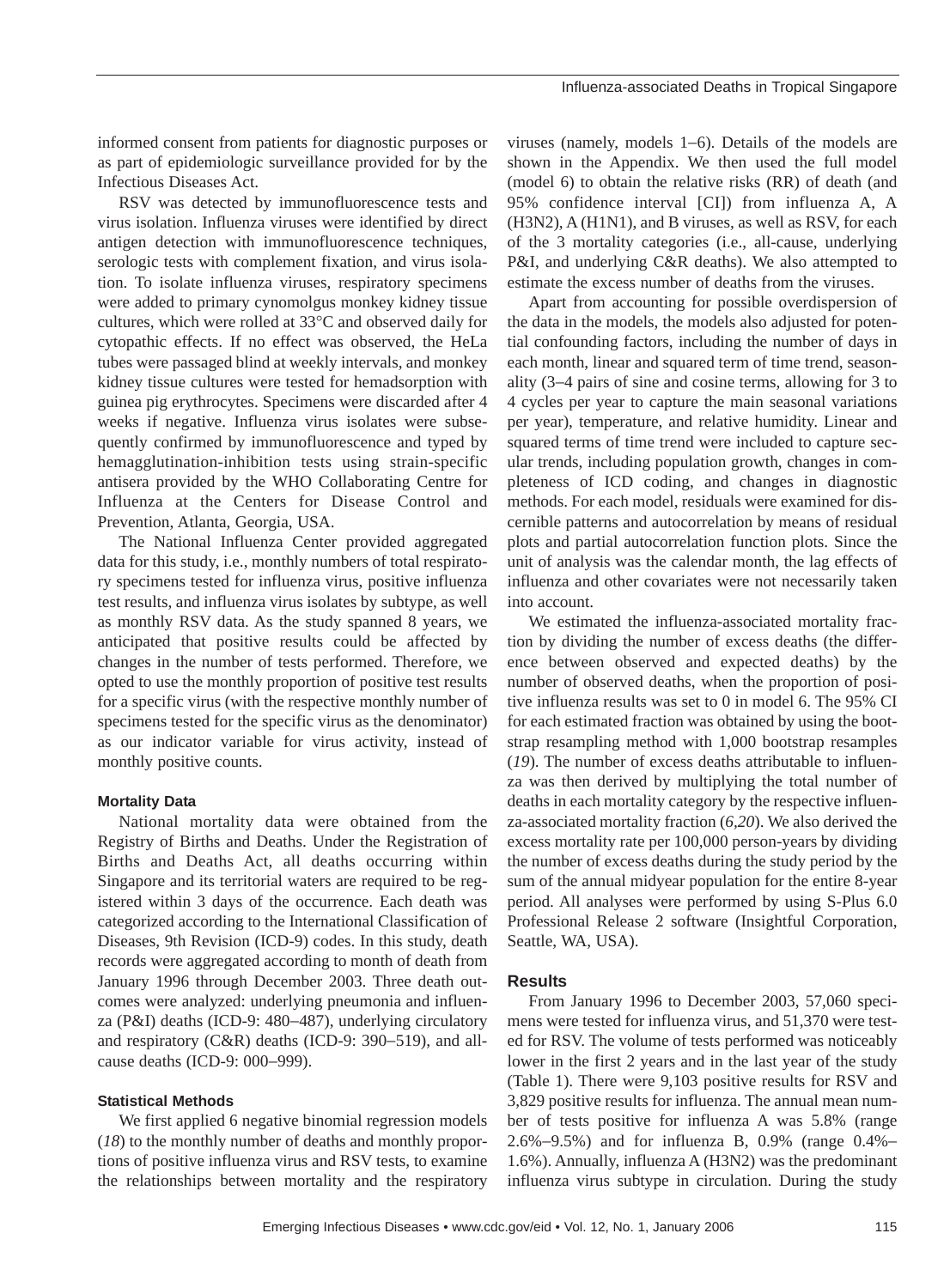informed consent from patients for diagnostic purposes or as part of epidemiologic surveillance provided for by the Infectious Diseases Act.

RSV was detected by immunofluorescence tests and virus isolation. Influenza viruses were identified by direct antigen detection with immunofluorescence techniques, serologic tests with complement fixation, and virus isolation. To isolate influenza viruses, respiratory specimens were added to primary cynomolgus monkey kidney tissue cultures, which were rolled at 33°C and observed daily for cytopathic effects. If no effect was observed, the HeLa tubes were passaged blind at weekly intervals, and monkey kidney tissue cultures were tested for hemadsorption with guinea pig erythrocytes. Specimens were discarded after 4 weeks if negative. Influenza virus isolates were subsequently confirmed by immunofluorescence and typed by hemagglutination-inhibition tests using strain-specific antisera provided by the WHO Collaborating Centre for Influenza at the Centers for Disease Control and Prevention, Atlanta, Georgia, USA.

The National Influenza Center provided aggregated data for this study, i.e., monthly numbers of total respiratory specimens tested for influenza virus, positive influenza test results, and influenza virus isolates by subtype, as well as monthly RSV data. As the study spanned 8 years, we anticipated that positive results could be affected by changes in the number of tests performed. Therefore, we opted to use the monthly proportion of positive test results for a specific virus (with the respective monthly number of specimens tested for the specific virus as the denominator) as our indicator variable for virus activity, instead of monthly positive counts.

#### **Mortality Data**

National mortality data were obtained from the Registry of Births and Deaths. Under the Registration of Births and Deaths Act, all deaths occurring within Singapore and its territorial waters are required to be registered within 3 days of the occurrence. Each death was categorized according to the International Classification of Diseases, 9th Revision (ICD-9) codes. In this study, death records were aggregated according to month of death from January 1996 through December 2003. Three death outcomes were analyzed: underlying pneumonia and influenza (P&I) deaths (ICD-9: 480−487), underlying circulatory and respiratory (C&R) deaths (ICD-9: 390−519), and allcause deaths (ICD-9: 000−999).

#### **Statistical Methods**

We first applied 6 negative binomial regression models (*18*) to the monthly number of deaths and monthly proportions of positive influenza virus and RSV tests, to examine the relationships between mortality and the respiratory viruses (namely, models 1−6). Details of the models are shown in the Appendix. We then used the full model (model 6) to obtain the relative risks (RR) of death (and 95% confidence interval [CI]) from influenza A, A (H3N2), A (H1N1), and B viruses, as well as RSV, for each of the 3 mortality categories (i.e., all-cause, underlying P&I, and underlying C&R deaths). We also attempted to estimate the excess number of deaths from the viruses.

Apart from accounting for possible overdispersion of the data in the models, the models also adjusted for potential confounding factors, including the number of days in each month, linear and squared term of time trend, seasonality (3−4 pairs of sine and cosine terms, allowing for 3 to 4 cycles per year to capture the main seasonal variations per year), temperature, and relative humidity. Linear and squared terms of time trend were included to capture secular trends, including population growth, changes in completeness of ICD coding, and changes in diagnostic methods. For each model, residuals were examined for discernible patterns and autocorrelation by means of residual plots and partial autocorrelation function plots. Since the unit of analysis was the calendar month, the lag effects of influenza and other covariates were not necessarily taken into account.

We estimated the influenza-associated mortality fraction by dividing the number of excess deaths (the difference between observed and expected deaths) by the number of observed deaths, when the proportion of positive influenza results was set to 0 in model 6. The 95% CI for each estimated fraction was obtained by using the bootstrap resampling method with 1,000 bootstrap resamples (*19*). The number of excess deaths attributable to influenza was then derived by multiplying the total number of deaths in each mortality category by the respective influenza-associated mortality fraction (*6,20*). We also derived the excess mortality rate per 100,000 person-years by dividing the number of excess deaths during the study period by the sum of the annual midyear population for the entire 8-year period. All analyses were performed by using S-Plus 6.0 Professional Release 2 software (Insightful Corporation, Seattle, WA, USA).

## **Results**

From January 1996 to December 2003, 57,060 specimens were tested for influenza virus, and 51,370 were tested for RSV. The volume of tests performed was noticeably lower in the first 2 years and in the last year of the study (Table 1). There were 9,103 positive results for RSV and 3,829 positive results for influenza. The annual mean number of tests positive for influenza A was 5.8% (range 2.6%−9.5%) and for influenza B, 0.9% (range 0.4%− 1.6%). Annually, influenza A (H3N2) was the predominant influenza virus subtype in circulation. During the study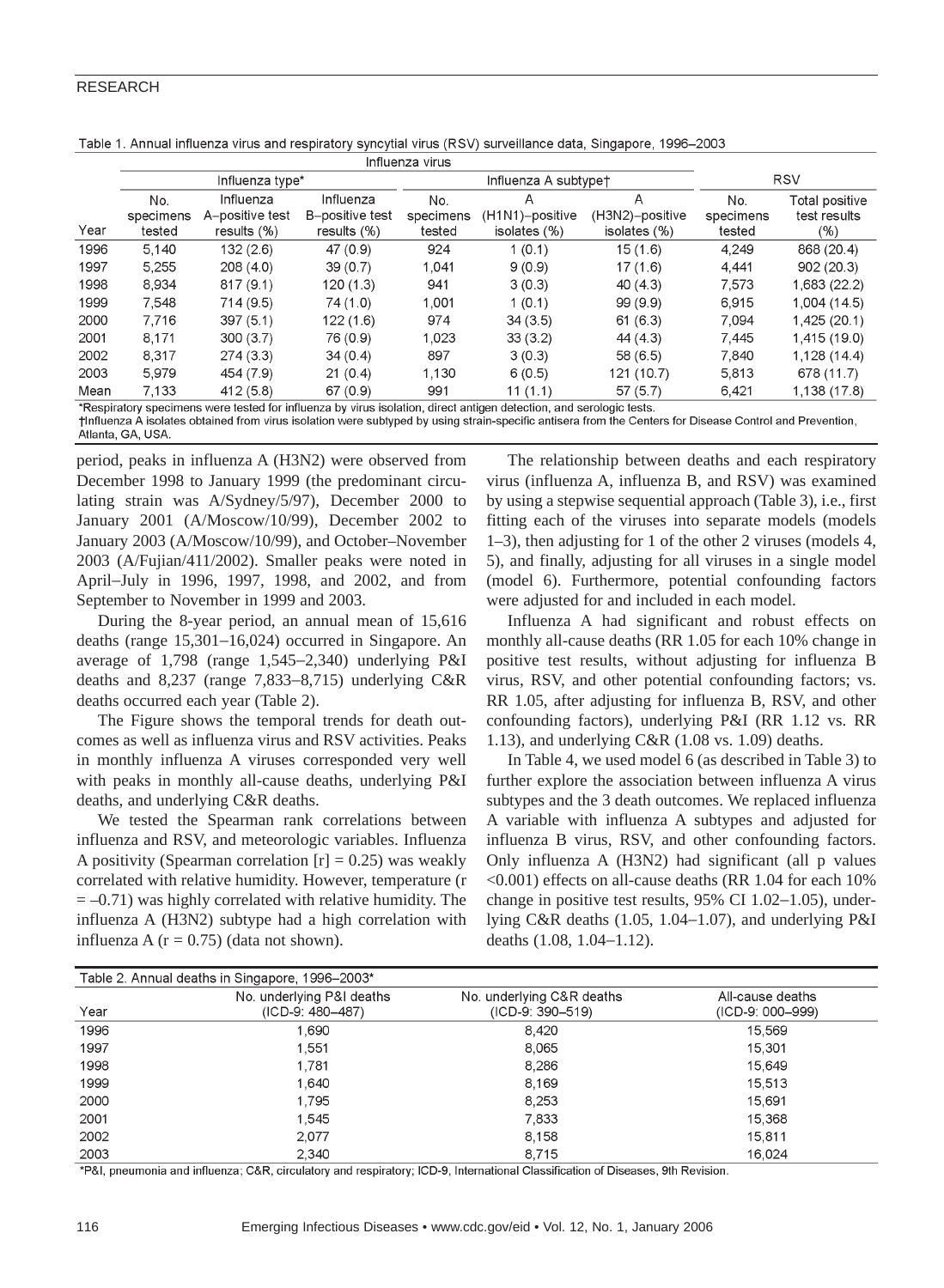### RESEARCH

|      | Influenza virus            |                                               |                                               |                            |                                      |                                      |                            |                                       |
|------|----------------------------|-----------------------------------------------|-----------------------------------------------|----------------------------|--------------------------------------|--------------------------------------|----------------------------|---------------------------------------|
|      | Influenza type*            |                                               |                                               | Influenza A subtypet       |                                      |                                      | <b>RSV</b>                 |                                       |
| Year | No.<br>specimens<br>tested | Influenza<br>A-positive test<br>results $(%)$ | Influenza<br>B-positive test<br>results $(%)$ | No.<br>specimens<br>tested | A<br>(H1N1)-positive<br>isolates (%) | A<br>(H3N2)-positive<br>isolates (%) | No.<br>specimens<br>tested | Total positive<br>test results<br>(%) |
| 1996 | 5.140                      | 132(2.6)                                      | 47(0.9)                                       | 924                        | 1(0.1)                               | 15(1.6)                              | 4.249                      | 868 (20.4)                            |
| 1997 | 5,255                      | 208(4.0)                                      | 39(0.7)                                       | 1.041                      | 9(0.9)                               | 17(1.6)                              | 4.441                      | 902(20.3)                             |
| 1998 | 8.934                      | 817(9.1)                                      | 120(1.3)                                      | 941                        | 3(0.3)                               | 40(4.3)                              | 7.573                      | 1,683 (22.2)                          |
| 1999 | 7.548                      | 714(9.5)                                      | 74 (1.0)                                      | 1,001                      | 1(0.1)                               | 99(9.9)                              | 6,915                      | 1,004(14.5)                           |
| 2000 | 7.716                      | 397(5.1)                                      | 122(1.6)                                      | 974                        | 34(3.5)                              | 61(6.3)                              | 7.094                      | 1,425 (20.1)                          |
| 2001 | 8,171                      | 300(3.7)                                      | 76 (0.9)                                      | 1,023                      | 33(3.2)                              | 44(4.3)                              | 7,445                      | 1,415 (19.0)                          |
| 2002 | 8,317                      | 274(3.3)                                      | 34(0.4)                                       | 897                        | 3(0.3)                               | 58(6.5)                              | 7,840                      | 1,128 (14.4)                          |
| 2003 | 5.979                      | 454 (7.9)                                     | 21(0.4)                                       | 1.130                      | 6(0.5)                               | 121 (10.7)                           | 5,813                      | 678 (11.7)                            |
| Mean | 7,133                      | 412(5.8)                                      | 67(0.9)                                       | 991                        | 11(1.1)                              | 57(5.7)                              | 6,421                      | 1,138 (17.8)                          |

Table 1. Annual influenza virus and respiratory syncytial virus (RSV) surveillance data, Singapore, 1996–2003

\*Respiratory specimens were tested for influenza by virus isolation, direct antigen detection, and serologic tests. †Influenza A isolates obtained from virus isolation were subtyped by using strain-specific antisera from the Centers for Disease Control and Prevention,

Atlanta, GA, USA.

period, peaks in influenza A (H3N2) were observed from December 1998 to January 1999 (the predominant circulating strain was A/Sydney/5/97), December 2000 to January 2001 (A/Moscow/10/99), December 2002 to January 2003 (A/Moscow/10/99), and October–November 2003 (A/Fujian/411/2002). Smaller peaks were noted in April−July in 1996, 1997, 1998, and 2002, and from September to November in 1999 and 2003.

During the 8-year period, an annual mean of 15,616 deaths (range 15,301−16,024) occurred in Singapore. An average of 1,798 (range 1,545−2,340) underlying P&I deaths and 8,237 (range 7,833−8,715) underlying C&R deaths occurred each year (Table 2).

The Figure shows the temporal trends for death outcomes as well as influenza virus and RSV activities. Peaks in monthly influenza A viruses corresponded very well with peaks in monthly all-cause deaths, underlying P&I deaths, and underlying C&R deaths.

We tested the Spearman rank correlations between influenza and RSV, and meteorologic variables. Influenza A positivity (Spearman correlation  $[r] = 0.25$ ) was weakly correlated with relative humidity. However, temperature (r  $= -0.71$ ) was highly correlated with relative humidity. The influenza A (H3N2) subtype had a high correlation with influenza A  $(r = 0.75)$  (data not shown).

The relationship between deaths and each respiratory virus (influenza A, influenza B, and RSV) was examined by using a stepwise sequential approach (Table 3), i.e., first fitting each of the viruses into separate models (models 1–3), then adjusting for 1 of the other 2 viruses (models 4, 5), and finally, adjusting for all viruses in a single model (model 6). Furthermore, potential confounding factors were adjusted for and included in each model.

Influenza A had significant and robust effects on monthly all-cause deaths (RR 1.05 for each 10% change in positive test results, without adjusting for influenza B virus, RSV, and other potential confounding factors; vs. RR 1.05, after adjusting for influenza B, RSV, and other confounding factors), underlying P&I (RR 1.12 vs. RR 1.13), and underlying C&R (1.08 vs. 1.09) deaths.

In Table 4, we used model 6 (as described in Table 3) to further explore the association between influenza A virus subtypes and the 3 death outcomes. We replaced influenza A variable with influenza A subtypes and adjusted for influenza B virus, RSV, and other confounding factors. Only influenza A (H3N2) had significant (all p values <0.001) effects on all-cause deaths (RR 1.04 for each 10% change in positive test results, 95% CI 1.02−1.05), underlying C&R deaths (1.05, 1.04−1.07), and underlying P&I deaths (1.08, 1.04−1.12).

| Table 2. Annual deaths in Singapore, 1996–2003* |                                               |                                                 |                                      |  |  |
|-------------------------------------------------|-----------------------------------------------|-------------------------------------------------|--------------------------------------|--|--|
| Year                                            | No. underlying P&I deaths<br>(ICD-9: 480-487) | No. underlying C&R deaths<br>$(ICD-9: 390-519)$ | All-cause deaths<br>(ICD-9: 000-999) |  |  |
| 1996                                            | 1,690                                         | 8.420                                           | 15,569                               |  |  |
| 1997                                            | 1.551                                         | 8.065                                           | 15,301                               |  |  |
| 1998                                            | 1.781                                         | 8.286                                           | 15.649                               |  |  |
| 1999                                            | 1.640                                         | 8,169                                           | 15.513                               |  |  |
| 2000                                            | 1.795                                         | 8,253                                           | 15.691                               |  |  |
| 2001                                            | 1.545                                         | 7,833                                           | 15,368                               |  |  |
| 2002                                            | 2.077                                         | 8.158                                           | 15,811                               |  |  |
| 2003                                            | 2.340                                         | 8.715                                           | 16.024                               |  |  |

\*P&I, pneumonia and influenza; C&R, circulatory and respiratory; ICD-9, International Classification of Diseases, 9th Revision.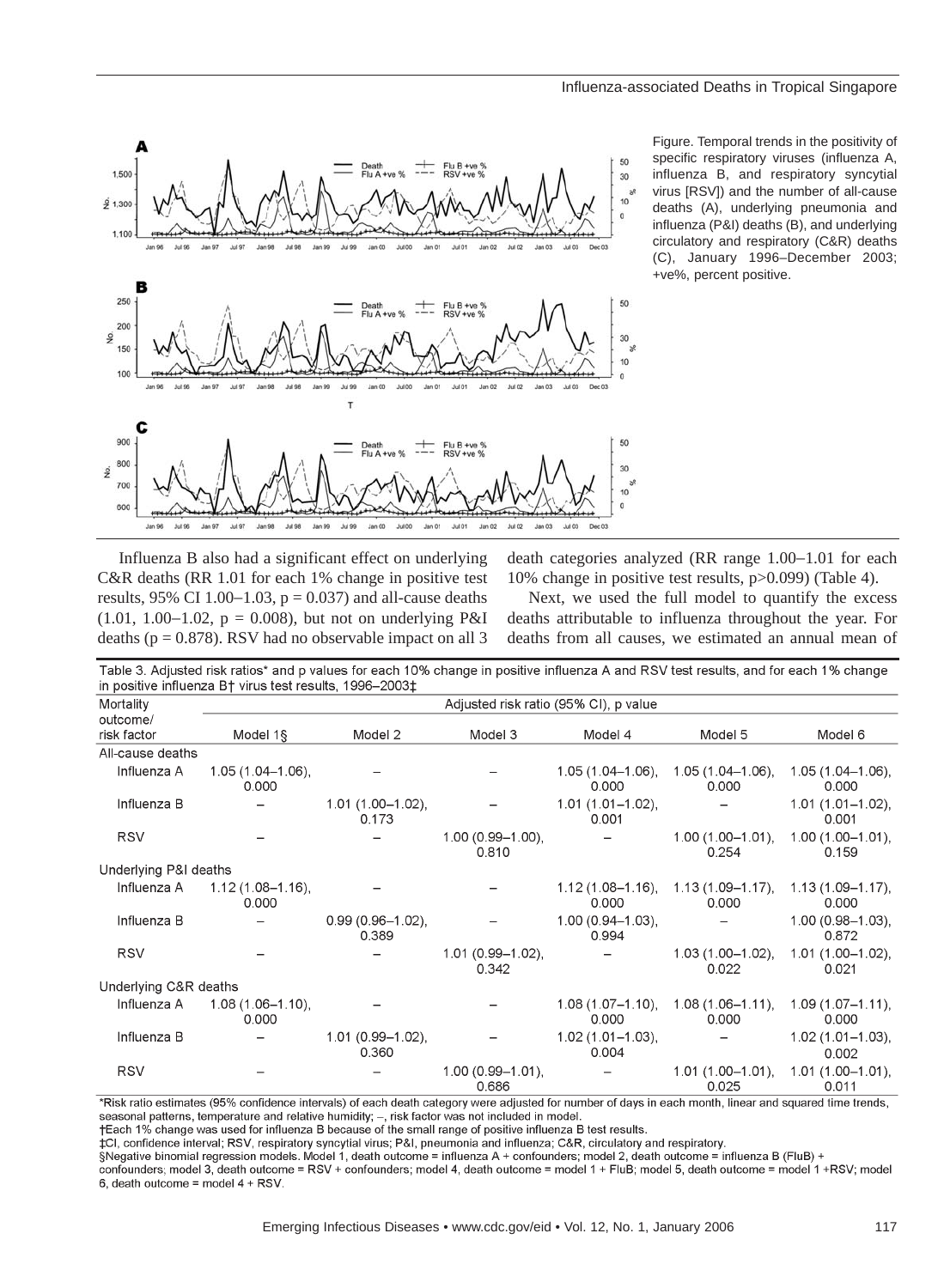

Figure. Temporal trends in the positivity of specific respiratory viruses (influenza A, influenza B, and respiratory syncytial virus [RSV]) and the number of all-cause deaths (A), underlying pneumonia and influenza (P&I) deaths (B), and underlying circulatory and respiratory (C&R) deaths (C), January 1996–December 2003; +ve%, percent positive.

Influenza B also had a significant effect on underlying C&R deaths (RR 1.01 for each 1% change in positive test results, 95% CI 1.00−1.03, p = 0.037) and all-cause deaths (1.01, 1.00−1.02, p = 0.008), but not on underlying P&I deaths ( $p = 0.878$ ). RSV had no observable impact on all 3

death categories analyzed (RR range 1.00−1.01 for each 10% change in positive test results, p>0.099) (Table 4).

Next, we used the full model to quantify the excess deaths attributable to influenza throughout the year. For deaths from all causes, we estimated an annual mean of

| Table 3. Adjusted risk ratios* and p values for each 10% change in positive influenza A and RSV test results, and for each 1% change<br>in positive influenza B† virus test results, 1996–2003‡ |                                       |                                |                                |                                |                                |                                |  |  |
|-------------------------------------------------------------------------------------------------------------------------------------------------------------------------------------------------|---------------------------------------|--------------------------------|--------------------------------|--------------------------------|--------------------------------|--------------------------------|--|--|
| Mortality                                                                                                                                                                                       | Adjusted risk ratio (95% CI), p value |                                |                                |                                |                                |                                |  |  |
| outcome/<br>risk factor                                                                                                                                                                         | Model 1§                              | Model 2                        | Model 3                        | Model 4                        | Model 5                        | Model 6                        |  |  |
| All-cause deaths                                                                                                                                                                                |                                       |                                |                                |                                |                                |                                |  |  |
| Influenza A                                                                                                                                                                                     | $1.05(1.04 - 1.06)$ ,<br>0.000        |                                |                                | $1.05(1.04 - 1.06)$<br>0.000   | $1.05(1.04 - 1.06)$<br>0.000   | $1.05(1.04 - 1.06)$ ,<br>0.000 |  |  |
| Influenza B                                                                                                                                                                                     |                                       | $1.01(1.00 - 1.02)$ ,<br>0.173 |                                | $1.01(1.01 - 1.02)$ ,<br>0.001 |                                | $1.01(1.01 - 1.02)$ ,<br>0.001 |  |  |
| <b>RSV</b>                                                                                                                                                                                      |                                       |                                | $1.00(0.99 - 1.00)$ ,<br>0.810 |                                | $1.00(1.00-1.01)$ ,<br>0.254   | $1.00(1.00 - 1.01)$ ,<br>0.159 |  |  |
| Underlying P&I deaths                                                                                                                                                                           |                                       |                                |                                |                                |                                |                                |  |  |
| Influenza A                                                                                                                                                                                     | $1.12(1.08 - 1.16)$ ,<br>0.000        |                                |                                | $1.12(1.08 - 1.16)$ ,<br>0.000 | $1.13(1.09 - 1.17)$ ,<br>0.000 | $1.13(1.09 - 1.17)$ ,<br>0.000 |  |  |
| Influenza B                                                                                                                                                                                     |                                       | $0.99(0.96 - 1.02)$ ,<br>0.389 |                                | $1.00(0.94 - 1.03)$ ,<br>0.994 |                                | $1.00(0.98 - 1.03)$ ,<br>0.872 |  |  |
| <b>RSV</b>                                                                                                                                                                                      |                                       |                                | $1.01(0.99 - 1.02)$ ,<br>0.342 |                                | $1.03(1.00-1.02)$ ,<br>0.022   | $1.01(1.00 - 1.02)$ ,<br>0.021 |  |  |
| Underlying C&R deaths                                                                                                                                                                           |                                       |                                |                                |                                |                                |                                |  |  |
| Influenza A                                                                                                                                                                                     | 1.08 (1.06-1.10),<br>0.000            |                                |                                | $1.08(1.07 - 1.10)$ ,<br>0.000 | $1.08(1.06 - 1.11),$<br>0.000  | $1.09(1.07 - 1.11)$ ,<br>0.000 |  |  |
| Influenza B                                                                                                                                                                                     |                                       | $1.01(0.99 - 1.02)$ ,<br>0.360 |                                | $1.02(1.01 - 1.03)$ ,<br>0.004 |                                | $1.02(1.01 - 1.03)$ ,<br>0.002 |  |  |
| <b>RSV</b>                                                                                                                                                                                      |                                       |                                | $1.00(0.99 - 1.01)$ ,<br>0.686 |                                | $1.01(1.00-1.01)$<br>0.025     | $1.01(1.00 - 1.01)$<br>0.011   |  |  |

\*Risk ratio estimates (95% confidence intervals) of each death category were adjusted for number of days in each month, linear and squared time trends, seasonal patterns, temperature and relative humidity; -, risk factor was not included in model.

+Each 1% change was used for influenza B because of the small range of positive influenza B test results.

‡CI, confidence interval; RSV, respiratory syncytial virus; P&I, pneumonia and influenza; C&R, circulatory and respiratory.

§Negative binomial regression models. Model 1, death outcome = influenza A + confounders; model 2, death outcome = influenza B (FluB) + confounders; model 3, death outcome = RSV + confounders; model 4, death outcome = model 1 + FluB; model 5, death outcome = model 1 +RSV; model 6, death outcome = model 4 + RSV.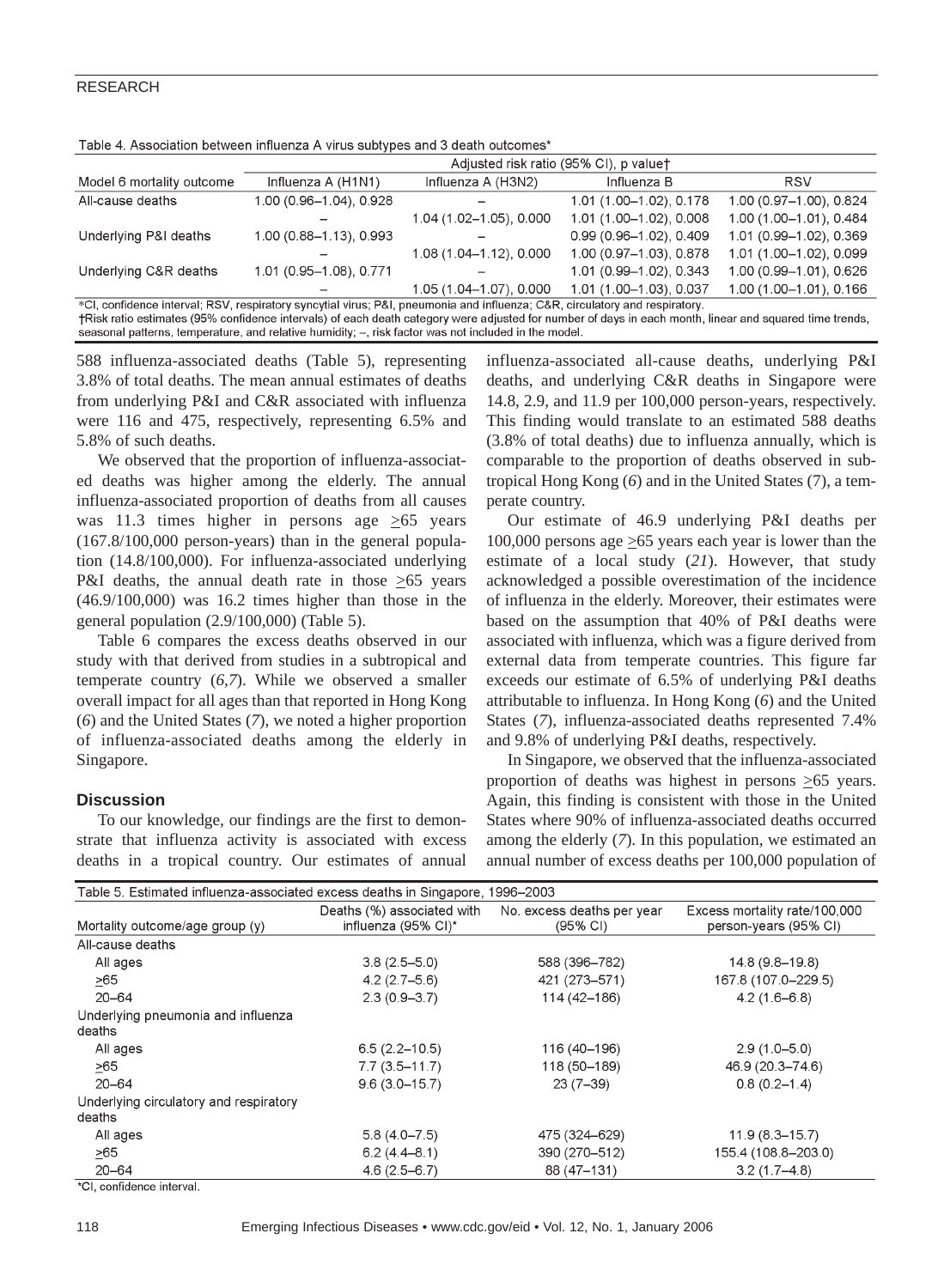### RESEARCH

Table 4. Association between influenza A virus subtypes and 3 death outcomes\*

|                                                                                                                                                                                                                                                                                      | Adjusted risk ratio (95% CI), p valuet |                         |                            |                         |  |  |
|--------------------------------------------------------------------------------------------------------------------------------------------------------------------------------------------------------------------------------------------------------------------------------------|----------------------------------------|-------------------------|----------------------------|-------------------------|--|--|
| Model 6 mortality outcome                                                                                                                                                                                                                                                            | Influenza A (H1N1)                     | Influenza A (H3N2)      | Influenza B                | <b>RSV</b>              |  |  |
| All-cause deaths                                                                                                                                                                                                                                                                     | 1.00 (0.96-1.04), 0.928                |                         | 1.01 (1.00-1.02), 0.178    | 1.00 (0.97-1.00), 0.824 |  |  |
|                                                                                                                                                                                                                                                                                      |                                        | 1.04 (1.02-1.05), 0.000 | 1.01 (1.00-1.02), 0.008    | 1.00 (1.00-1.01), 0.484 |  |  |
| Underlying P&I deaths                                                                                                                                                                                                                                                                | 1.00 (0.88-1.13), 0.993                |                         | $0.99(0.96 - 1.02), 0.409$ | 1.01 (0.99-1.02), 0.369 |  |  |
|                                                                                                                                                                                                                                                                                      |                                        | 1.08 (1.04-1.12), 0.000 | 1.00 (0.97-1.03), 0.878    | 1.01 (1.00-1.02), 0.099 |  |  |
| Underlying C&R deaths                                                                                                                                                                                                                                                                | 1.01 (0.95-1.08), 0.771                |                         | 1.01 (0.99-1.02), 0.343    | 1.00 (0.99-1.01), 0.626 |  |  |
|                                                                                                                                                                                                                                                                                      |                                        | 1.05 (1.04-1.07), 0.000 | 1.01 (1.00-1.03), 0.037    | 1.00 (1.00-1.01), 0.166 |  |  |
| *CI, confidence interval; RSV, respiratory syncytial virus; P&I, pneumonia and influenza; C&R, circulatory and respiratory.<br>track ratio estimates (95% confidence intervals) of each death category were adjusted for number of days in each month linear and squared time trends |                                        |                         |                            |                         |  |  |

seasonal patterns, temperature, and relative humidity; –, risk factor was not included in the model.

588 influenza-associated deaths (Table 5), representing 3.8% of total deaths. The mean annual estimates of deaths from underlying P&I and C&R associated with influenza were 116 and 475, respectively, representing 6.5% and 5.8% of such deaths.

We observed that the proportion of influenza-associated deaths was higher among the elderly. The annual influenza-associated proportion of deaths from all causes was 11.3 times higher in persons age  $\geq 65$  years (167.8/100,000 person-years) than in the general population (14.8/100,000). For influenza-associated underlying P&I deaths, the annual death rate in those  $\geq 65$  years (46.9/100,000) was 16.2 times higher than those in the general population (2.9/100,000) (Table 5).

Table 6 compares the excess deaths observed in our study with that derived from studies in a subtropical and temperate country (*6,7*). While we observed a smaller overall impact for all ages than that reported in Hong Kong (*6*) and the United States (*7*), we noted a higher proportion of influenza-associated deaths among the elderly in Singapore.

## **Discussion**

To our knowledge, our findings are the first to demonstrate that influenza activity is associated with excess deaths in a tropical country. Our estimates of annual influenza-associated all-cause deaths, underlying P&I deaths, and underlying C&R deaths in Singapore were 14.8, 2.9, and 11.9 per 100,000 person-years, respectively. This finding would translate to an estimated 588 deaths (3.8% of total deaths) due to influenza annually, which is comparable to the proportion of deaths observed in subtropical Hong Kong (*6*) and in the United States (7), a temperate country.

Our estimate of 46.9 underlying P&I deaths per 100,000 persons age  $\geq 65$  years each year is lower than the estimate of a local study (*21*). However, that study acknowledged a possible overestimation of the incidence of influenza in the elderly. Moreover, their estimates were based on the assumption that 40% of P&I deaths were associated with influenza, which was a figure derived from external data from temperate countries. This figure far exceeds our estimate of 6.5% of underlying P&I deaths attributable to influenza. In Hong Kong (*6*) and the United States (*7*), influenza-associated deaths represented 7.4% and 9.8% of underlying P&I deaths, respectively.

In Singapore, we observed that the influenza-associated proportion of deaths was highest in persons  $\geq 65$  years. Again, this finding is consistent with those in the United States where 90% of influenza-associated deaths occurred among the elderly (*7*). In this population, we estimated an annual number of excess deaths per 100,000 population of

| Table 5. Estimated influenza-associated excess deaths in Singapore, 1996–2003 |                                                   |                                                  |                                                        |  |  |
|-------------------------------------------------------------------------------|---------------------------------------------------|--------------------------------------------------|--------------------------------------------------------|--|--|
| Mortality outcome/age group (y)                                               | Deaths (%) associated with<br>influenza (95% CI)* | No. excess deaths per year<br>$(95% \text{ Cl})$ | Excess mortality rate/100,000<br>person-years (95% CI) |  |  |
| All-cause deaths                                                              |                                                   |                                                  |                                                        |  |  |
| All ages                                                                      | $3.8(2.5 - 5.0)$                                  | 588 (396-782)                                    | 14.8 (9.8-19.8)                                        |  |  |
| >65                                                                           | $4.2(2.7-5.6)$                                    | 421 (273-571)                                    | 167.8 (107.0-229.5)                                    |  |  |
| $20 - 64$                                                                     | $2.3(0.9 - 3.7)$                                  | 114 (42-186)                                     | $4.2(1.6-6.8)$                                         |  |  |
| Underlying pneumonia and influenza<br>deaths                                  |                                                   |                                                  |                                                        |  |  |
| All ages                                                                      | $6.5(2.2 - 10.5)$                                 | 116 (40-196)                                     | $2.9(1.0 - 5.0)$                                       |  |  |
| >65                                                                           | $7.7(3.5 - 11.7)$                                 | 118 (50-189)                                     | 46.9 (20.3-74.6)                                       |  |  |
| $20 - 64$                                                                     | $9.6(3.0 - 15.7)$                                 | $23(7-39)$                                       | $0.8(0.2-1.4)$                                         |  |  |
| Underlying circulatory and respiratory<br>deaths                              |                                                   |                                                  |                                                        |  |  |
| All ages                                                                      | $5.8(4.0 - 7.5)$                                  | 475 (324–629)                                    | $11.9(8.3 - 15.7)$                                     |  |  |
| >65                                                                           | $6.2(4.4 - 8.1)$                                  | 390 (270-512)                                    | 155.4 (108.8-203.0)                                    |  |  |
| $20 - 64$                                                                     | $4.6(2.5 - 6.7)$                                  | 88 (47-131)                                      | $3.2(1.7-4.8)$                                         |  |  |

\*CI. confidence interval.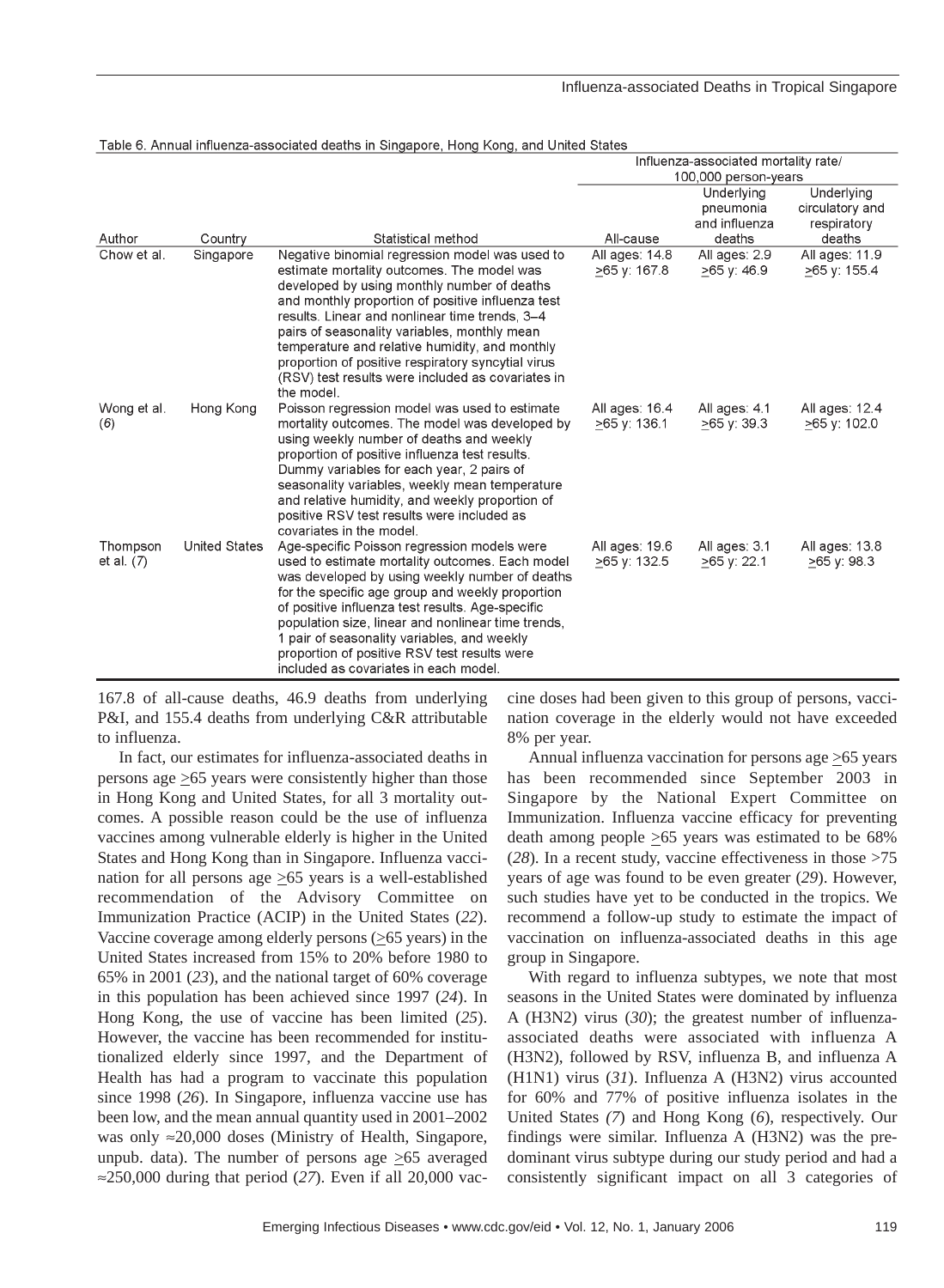## Influenza-associated Deaths in Tropical Singapore

|                          |                      | Table 0. Anniual innuenza-associated deaths in omgapore, riong Kong, and Onited Otates                                                                                                                                                                                                                                                                                                                                                                 |                                      |                                |                                  |
|--------------------------|----------------------|--------------------------------------------------------------------------------------------------------------------------------------------------------------------------------------------------------------------------------------------------------------------------------------------------------------------------------------------------------------------------------------------------------------------------------------------------------|--------------------------------------|--------------------------------|----------------------------------|
|                          |                      |                                                                                                                                                                                                                                                                                                                                                                                                                                                        | Influenza-associated mortality rate/ |                                |                                  |
| 100,000 person-years     |                      |                                                                                                                                                                                                                                                                                                                                                                                                                                                        |                                      |                                |                                  |
|                          |                      |                                                                                                                                                                                                                                                                                                                                                                                                                                                        |                                      | Underlying                     | Underlying                       |
|                          |                      |                                                                                                                                                                                                                                                                                                                                                                                                                                                        |                                      | pneumonia                      | circulatory and                  |
|                          |                      |                                                                                                                                                                                                                                                                                                                                                                                                                                                        |                                      | and influenza                  | respiratory                      |
| Author                   | Country              | Statistical method                                                                                                                                                                                                                                                                                                                                                                                                                                     | All-cause                            | deaths                         | deaths                           |
| Chow et al.              | Singapore            | Negative binomial regression model was used to<br>estimate mortality outcomes. The model was<br>developed by using monthly number of deaths<br>and monthly proportion of positive influenza test<br>results. Linear and nonlinear time trends, 3-4                                                                                                                                                                                                     | All ages: 14.8<br>>65 v: 167.8       | All ages: 2.9<br>$>65$ v: 46.9 | All ages: 11.9<br>$>65$ y: 155.4 |
|                          |                      | pairs of seasonality variables, monthly mean<br>temperature and relative humidity, and monthly<br>proportion of positive respiratory syncytial virus<br>(RSV) test results were included as covariates in<br>the model.                                                                                                                                                                                                                                |                                      |                                |                                  |
| Wong et al.<br>(6)       | Hong Kong            | Poisson regression model was used to estimate<br>mortality outcomes. The model was developed by<br>using weekly number of deaths and weekly<br>proportion of positive influenza test results.<br>Dummy variables for each year, 2 pairs of<br>seasonality variables, weekly mean temperature<br>and relative humidity, and weekly proportion of<br>positive RSV test results were included as<br>covariates in the model.                              | All ages: 16.4<br>≥65 y: 136.1       | All ages: 4.1<br>$>65$ y: 39.3 | All ages: 12.4<br>≥65 y: 102.0   |
| Thompson<br>et al. $(7)$ | <b>United States</b> | Age-specific Poisson regression models were<br>used to estimate mortality outcomes. Each model<br>was developed by using weekly number of deaths<br>for the specific age group and weekly proportion<br>of positive influenza test results. Age-specific<br>population size, linear and nonlinear time trends,<br>1 pair of seasonality variables, and weekly<br>proportion of positive RSV test results were<br>included as covariates in each model. | All ages: 19.6<br>>65 y: 132.5       | All ages: 3.1<br>$>65$ y: 22.1 | All ages: 13.8<br>$>65$ y: 98.3  |

#### Table 6. Annual influenza associated deaths in Singapere, Heng Keng, and United States

167.8 of all-cause deaths, 46.9 deaths from underlying P&I, and 155.4 deaths from underlying C&R attributable to influenza.

In fact, our estimates for influenza-associated deaths in persons age  $\geq 65$  years were consistently higher than those in Hong Kong and United States, for all 3 mortality outcomes. A possible reason could be the use of influenza vaccines among vulnerable elderly is higher in the United States and Hong Kong than in Singapore. Influenza vaccination for all persons age  $\geq 65$  years is a well-established recommendation of the Advisory Committee on Immunization Practice (ACIP) in the United States (*22*). Vaccine coverage among elderly persons  $(\geq 65 \text{ years})$  in the United States increased from 15% to 20% before 1980 to 65% in 2001 (*23*), and the national target of 60% coverage in this population has been achieved since 1997 (*24*). In Hong Kong, the use of vaccine has been limited (*25*). However, the vaccine has been recommended for institutionalized elderly since 1997, and the Department of Health has had a program to vaccinate this population since 1998 (*26*). In Singapore, influenza vaccine use has been low, and the mean annual quantity used in 2001–2002 was only  $\approx$ 20,000 doses (Ministry of Health, Singapore, unpub. data). The number of persons age  $\geq 65$  averaged ≈250,000 during that period (*27*). Even if all 20,000 vaccine doses had been given to this group of persons, vaccination coverage in the elderly would not have exceeded 8% per year.

Annual influenza vaccination for persons age  $\geq 65$  years has been recommended since September 2003 in Singapore by the National Expert Committee on Immunization. Influenza vaccine efficacy for preventing death among people  $\geq 65$  years was estimated to be 68% (*28*). In a recent study, vaccine effectiveness in those >75 years of age was found to be even greater (*29*). However, such studies have yet to be conducted in the tropics. We recommend a follow-up study to estimate the impact of vaccination on influenza-associated deaths in this age group in Singapore.

With regard to influenza subtypes, we note that most seasons in the United States were dominated by influenza A (H3N2) virus (*30*); the greatest number of influenzaassociated deaths were associated with influenza A (H3N2), followed by RSV, influenza B, and influenza A (H1N1) virus (*31*). Influenza A (H3N2) virus accounted for 60% and 77% of positive influenza isolates in the United States *(7*) and Hong Kong (*6*), respectively. Our findings were similar. Influenza A (H3N2) was the predominant virus subtype during our study period and had a consistently significant impact on all 3 categories of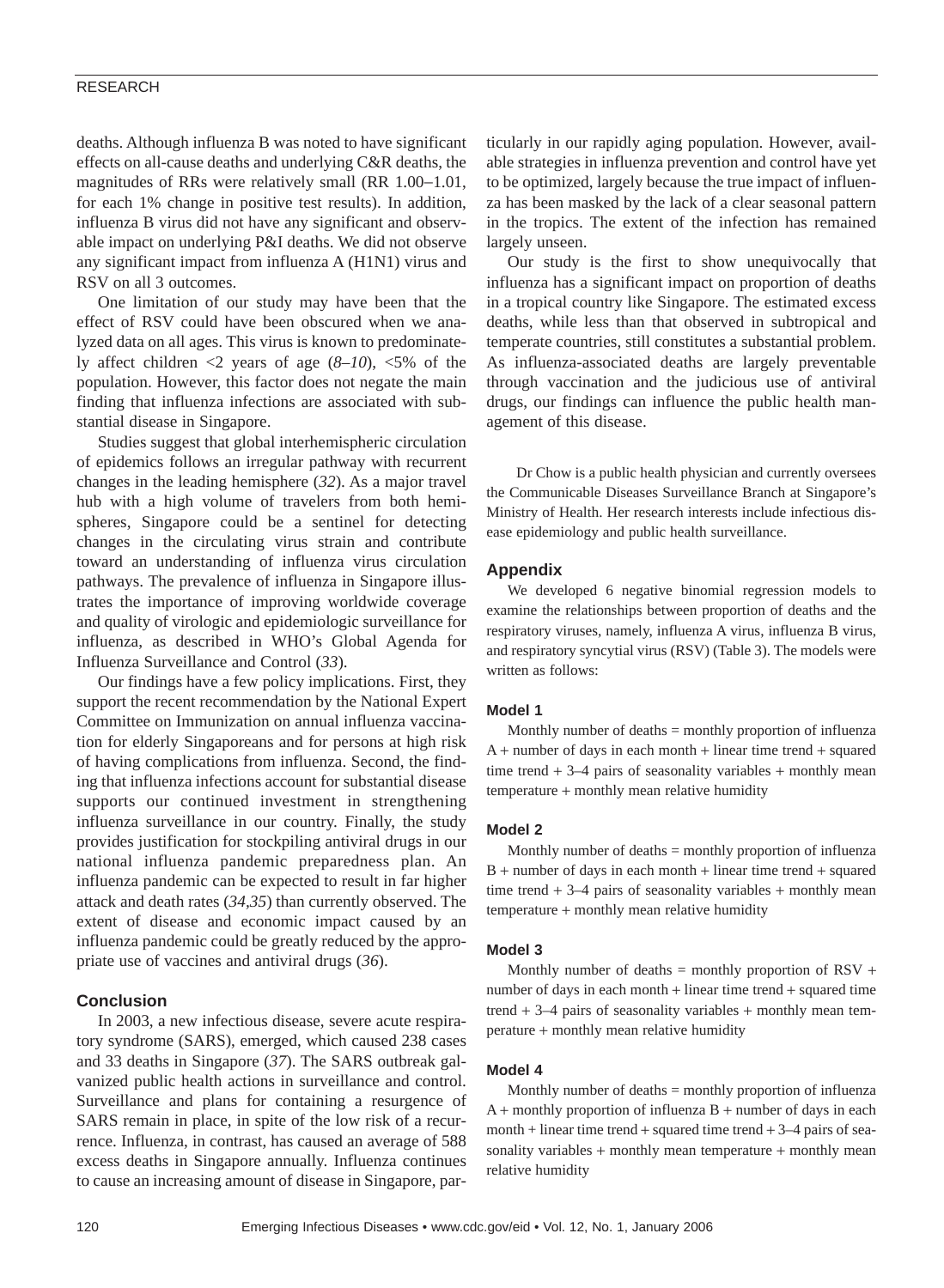#### RESEARCH

deaths. Although influenza B was noted to have significant effects on all-cause deaths and underlying C&R deaths, the magnitudes of RRs were relatively small (RR 1.00−1.01, for each 1% change in positive test results). In addition, influenza B virus did not have any significant and observable impact on underlying P&I deaths. We did not observe any significant impact from influenza A (H1N1) virus and RSV on all 3 outcomes.

One limitation of our study may have been that the effect of RSV could have been obscured when we analyzed data on all ages. This virus is known to predominately affect children <2 years of age (*8–10*), <5% of the population. However, this factor does not negate the main finding that influenza infections are associated with substantial disease in Singapore.

Studies suggest that global interhemispheric circulation of epidemics follows an irregular pathway with recurrent changes in the leading hemisphere (*32*). As a major travel hub with a high volume of travelers from both hemispheres, Singapore could be a sentinel for detecting changes in the circulating virus strain and contribute toward an understanding of influenza virus circulation pathways. The prevalence of influenza in Singapore illustrates the importance of improving worldwide coverage and quality of virologic and epidemiologic surveillance for influenza, as described in WHO's Global Agenda for Influenza Surveillance and Control (*33*).

Our findings have a few policy implications. First, they support the recent recommendation by the National Expert Committee on Immunization on annual influenza vaccination for elderly Singaporeans and for persons at high risk of having complications from influenza. Second, the finding that influenza infections account for substantial disease supports our continued investment in strengthening influenza surveillance in our country. Finally, the study provides justification for stockpiling antiviral drugs in our national influenza pandemic preparedness plan. An influenza pandemic can be expected to result in far higher attack and death rates (*34,35*) than currently observed. The extent of disease and economic impact caused by an influenza pandemic could be greatly reduced by the appropriate use of vaccines and antiviral drugs (*36*).

### **Conclusion**

In 2003, a new infectious disease, severe acute respiratory syndrome (SARS), emerged, which caused 238 cases and 33 deaths in Singapore (*37*). The SARS outbreak galvanized public health actions in surveillance and control. Surveillance and plans for containing a resurgence of SARS remain in place, in spite of the low risk of a recurrence. Influenza, in contrast, has caused an average of 588 excess deaths in Singapore annually. Influenza continues to cause an increasing amount of disease in Singapore, particularly in our rapidly aging population. However, available strategies in influenza prevention and control have yet to be optimized, largely because the true impact of influenza has been masked by the lack of a clear seasonal pattern in the tropics. The extent of the infection has remained largely unseen.

Our study is the first to show unequivocally that influenza has a significant impact on proportion of deaths in a tropical country like Singapore. The estimated excess deaths, while less than that observed in subtropical and temperate countries, still constitutes a substantial problem. As influenza-associated deaths are largely preventable through vaccination and the judicious use of antiviral drugs, our findings can influence the public health management of this disease.

Dr Chow is a public health physician and currently oversees the Communicable Diseases Surveillance Branch at Singapore's Ministry of Health. Her research interests include infectious disease epidemiology and public health surveillance.

## **Appendix**

We developed 6 negative binomial regression models to examine the relationships between proportion of deaths and the respiratory viruses, namely, influenza A virus, influenza B virus, and respiratory syncytial virus (RSV) (Table 3). The models were written as follows:

#### **Model 1**

Monthly number of deaths  $=$  monthly proportion of influenza A + number of days in each month + linear time trend + squared time trend  $+3-4$  pairs of seasonality variables  $+$  monthly mean temperature + monthly mean relative humidity

#### **Model 2**

Monthly number of deaths = monthly proportion of influenza B + number of days in each month + linear time trend + squared time trend  $+3-4$  pairs of seasonality variables  $+$  monthly mean temperature + monthly mean relative humidity

#### **Model 3**

Monthly number of deaths  $=$  monthly proportion of RSV  $+$ number of days in each month + linear time trend + squared time trend  $+3-4$  pairs of seasonality variables  $+$  monthly mean temperature + monthly mean relative humidity

#### **Model 4**

Monthly number of deaths  $=$  monthly proportion of influenza  $A +$  monthly proportion of influenza  $B +$  number of days in each month  $+$  linear time trend  $+$  squared time trend  $+$  3–4 pairs of seasonality variables + monthly mean temperature + monthly mean relative humidity